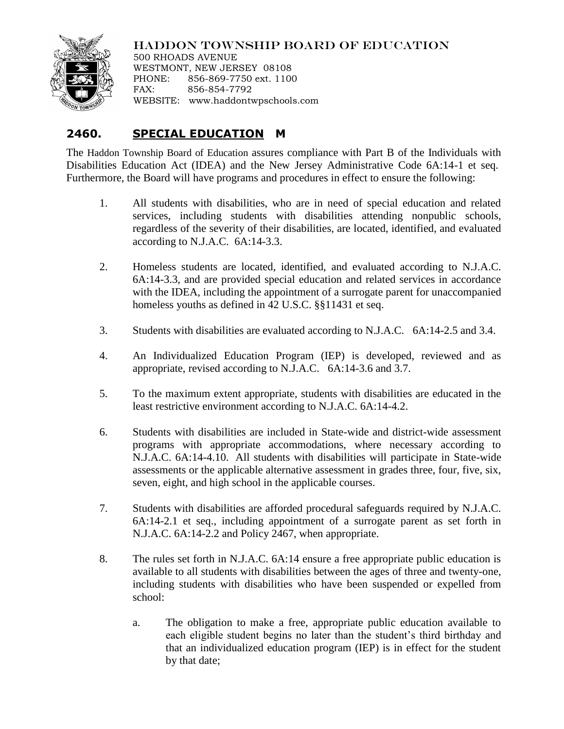

## HADDON TOWNSHIP BOARD OF EDUCATION

500 RHOADS AVENUE WESTMONT, NEW JERSEY 08108 PHONE: 856-869-7750 ext. 1100 FAX: 856-854-7792 WEBSITE: www.haddontwpschools.com

## **2460. SPECIAL EDUCATION M**

The Haddon Township Board of Education assures compliance with Part B of the Individuals with Disabilities Education Act (IDEA) and the New Jersey Administrative Code 6A:14-1 et seq. Furthermore, the Board will have programs and procedures in effect to ensure the following:

- 1. All students with disabilities, who are in need of special education and related services, including students with disabilities attending nonpublic schools, regardless of the severity of their disabilities, are located, identified, and evaluated according to N.J.A.C. 6A:14-3.3.
- 2. Homeless students are located, identified, and evaluated according to N.J.A.C. 6A:14-3.3, and are provided special education and related services in accordance with the IDEA, including the appointment of a surrogate parent for unaccompanied homeless youths as defined in 42 U.S.C. §§11431 et seq.
- 3. Students with disabilities are evaluated according to N.J.A.C. 6A:14-2.5 and 3.4.
- 4. An Individualized Education Program (IEP) is developed, reviewed and as appropriate, revised according to N.J.A.C. 6A:14-3.6 and 3.7.
- 5. To the maximum extent appropriate, students with disabilities are educated in the least restrictive environment according to N.J.A.C. 6A:14-4.2.
- 6. Students with disabilities are included in State-wide and district-wide assessment programs with appropriate accommodations, where necessary according to N.J.A.C. 6A:14-4.10. All students with disabilities will participate in State-wide assessments or the applicable alternative assessment in grades three, four, five, six, seven, eight, and high school in the applicable courses.
- 7. Students with disabilities are afforded procedural safeguards required by N.J.A.C. 6A:14-2.1 et seq., including appointment of a surrogate parent as set forth in N.J.A.C. 6A:14-2.2 and Policy 2467, when appropriate.
- 8. The rules set forth in N.J.A.C. 6A:14 ensure a free appropriate public education is available to all students with disabilities between the ages of three and twenty-one, including students with disabilities who have been suspended or expelled from school:
	- a. The obligation to make a free, appropriate public education available to each eligible student begins no later than the student's third birthday and that an individualized education program (IEP) is in effect for the student by that date;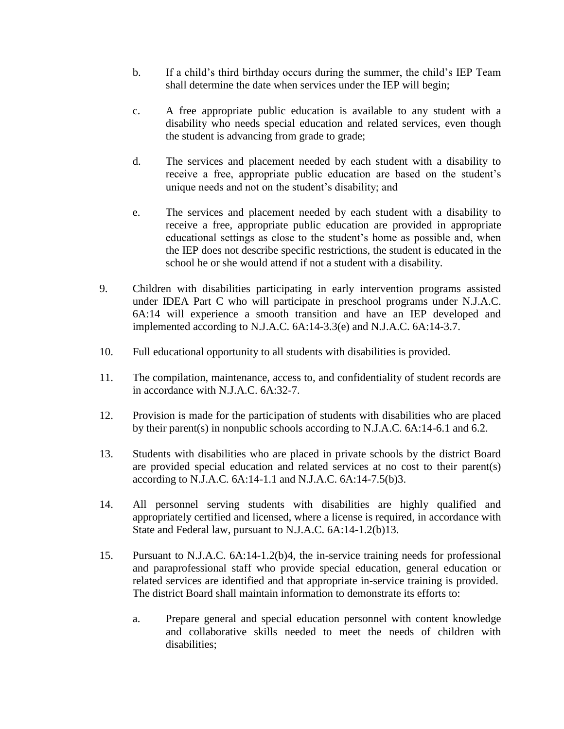- b. If a child's third birthday occurs during the summer, the child's IEP Team shall determine the date when services under the IEP will begin;
- c. A free appropriate public education is available to any student with a disability who needs special education and related services, even though the student is advancing from grade to grade;
- d. The services and placement needed by each student with a disability to receive a free, appropriate public education are based on the student's unique needs and not on the student's disability; and
- e. The services and placement needed by each student with a disability to receive a free, appropriate public education are provided in appropriate educational settings as close to the student's home as possible and, when the IEP does not describe specific restrictions, the student is educated in the school he or she would attend if not a student with a disability.
- 9. Children with disabilities participating in early intervention programs assisted under IDEA Part C who will participate in preschool programs under N.J.A.C. 6A:14 will experience a smooth transition and have an IEP developed and implemented according to N.J.A.C. 6A:14-3.3(e) and N.J.A.C. 6A:14-3.7.
- 10. Full educational opportunity to all students with disabilities is provided.
- 11. The compilation, maintenance, access to, and confidentiality of student records are in accordance with N.J.A.C. 6A:32-7.
- 12. Provision is made for the participation of students with disabilities who are placed by their parent(s) in nonpublic schools according to N.J.A.C. 6A:14-6.1 and 6.2.
- 13. Students with disabilities who are placed in private schools by the district Board are provided special education and related services at no cost to their parent(s) according to N.J.A.C. 6A:14-1.1 and N.J.A.C. 6A:14-7.5(b)3.
- 14. All personnel serving students with disabilities are highly qualified and appropriately certified and licensed, where a license is required, in accordance with State and Federal law, pursuant to N.J.A.C. 6A:14-1.2(b)13.
- 15. Pursuant to N.J.A.C. 6A:14-1.2(b)4, the in-service training needs for professional and paraprofessional staff who provide special education, general education or related services are identified and that appropriate in-service training is provided. The district Board shall maintain information to demonstrate its efforts to:
	- a. Prepare general and special education personnel with content knowledge and collaborative skills needed to meet the needs of children with disabilities;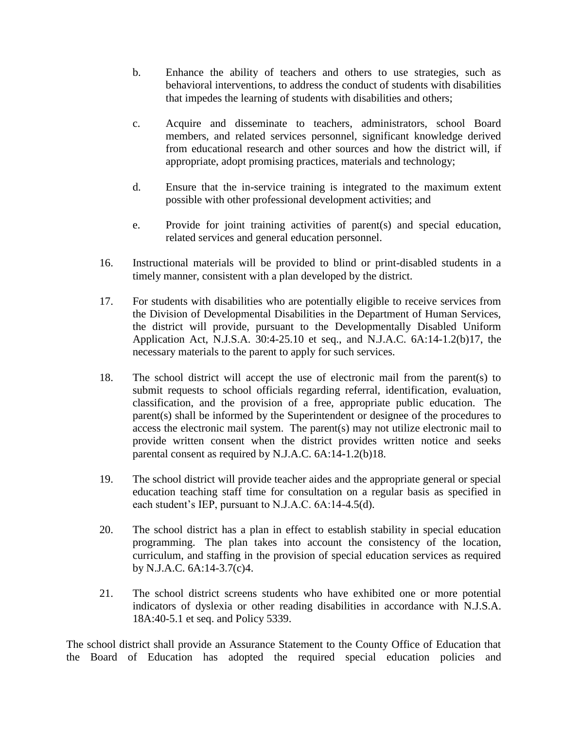- b. Enhance the ability of teachers and others to use strategies, such as behavioral interventions, to address the conduct of students with disabilities that impedes the learning of students with disabilities and others;
- c. Acquire and disseminate to teachers, administrators, school Board members, and related services personnel, significant knowledge derived from educational research and other sources and how the district will, if appropriate, adopt promising practices, materials and technology;
- d. Ensure that the in-service training is integrated to the maximum extent possible with other professional development activities; and
- e. Provide for joint training activities of parent(s) and special education, related services and general education personnel.
- 16. Instructional materials will be provided to blind or print-disabled students in a timely manner, consistent with a plan developed by the district.
- 17. For students with disabilities who are potentially eligible to receive services from the Division of Developmental Disabilities in the Department of Human Services, the district will provide, pursuant to the Developmentally Disabled Uniform Application Act, N.J.S.A. 30:4-25.10 et seq., and N.J.A.C. 6A:14-1.2(b)17, the necessary materials to the parent to apply for such services.
- 18. The school district will accept the use of electronic mail from the parent(s) to submit requests to school officials regarding referral, identification, evaluation, classification, and the provision of a free, appropriate public education. The parent(s) shall be informed by the Superintendent or designee of the procedures to access the electronic mail system. The parent(s) may not utilize electronic mail to provide written consent when the district provides written notice and seeks parental consent as required by N.J.A.C. 6A:14**-**1.2(b)18.
- 19. The school district will provide teacher aides and the appropriate general or special education teaching staff time for consultation on a regular basis as specified in each student's IEP, pursuant to N.J.A.C. 6A:14-4.5(d).
- 20. The school district has a plan in effect to establish stability in special education programming. The plan takes into account the consistency of the location, curriculum, and staffing in the provision of special education services as required by N.J.A.C. 6A:14-3.7(c)4.
- 21. The school district screens students who have exhibited one or more potential indicators of dyslexia or other reading disabilities in accordance with N.J.S.A. 18A:40-5.1 et seq. and Policy 5339.

The school district shall provide an Assurance Statement to the County Office of Education that the Board of Education has adopted the required special education policies and